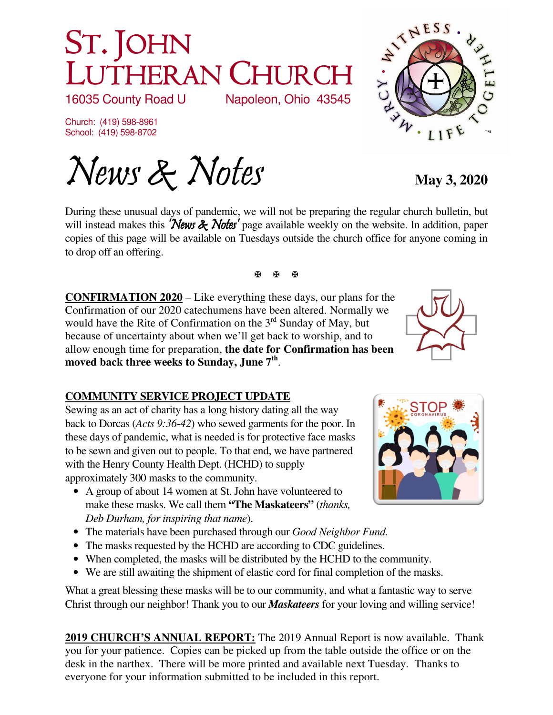# ST. JOHN LUTHERAN CHURCH<br>16035 County Road U Napoleon, Ohio 43545 Napoleon, Ohio 43545

Church: (419) 598-8961 School: (419) 598-8702

News & Notes May 3, 2020

During these unusual days of pandemic, we will not be preparing the regular church bulletin, but will instead makes this 'News  $\&$  Notes' page available weekly on the website. In addition, paper copies of this page will be available on Tuesdays outside the church office for anyone coming in to drop off an offering.

医图图

**CONFIRMATION 2020** – Like everything these days, our plans for the Confirmation of our 2020 catechumens have been altered. Normally we would have the Rite of Confirmation on the 3<sup>rd</sup> Sunday of May, but because of uncertainty about when we'll get back to worship, and to allow enough time for preparation, **the date for Confirmation has been moved back three weeks to Sunday, June 7th** .

# **COMMUNITY SERVICE PROJECT UPDATE**

Sewing as an act of charity has a long history dating all the way back to Dorcas (*Acts 9:36-42*) who sewed garments for the poor. In these days of pandemic, what is needed is for protective face masks to be sewn and given out to people. To that end, we have partnered with the Henry County Health Dept. (HCHD) to supply approximately 300 masks to the community.

- A group of about 14 women at St. John have volunteered to make these masks. We call them **"The Maskateers"** (*thanks, Deb Durham, for inspiring that name*).
- The materials have been purchased through our *Good Neighbor Fund.*
- The masks requested by the HCHD are according to CDC guidelines.
- When completed, the masks will be distributed by the HCHD to the community.
- We are still awaiting the shipment of elastic cord for final completion of the masks.

What a great blessing these masks will be to our community, and what a fantastic way to serve Christ through our neighbor! Thank you to our *Maskateers* for your loving and willing service!

**2019 CHURCH'S ANNUAL REPORT:** The 2019 Annual Report is now available. Thank you for your patience. Copies can be picked up from the table outside the office or on the desk in the narthex. There will be more printed and available next Tuesday. Thanks to everyone for your information submitted to be included in this report.





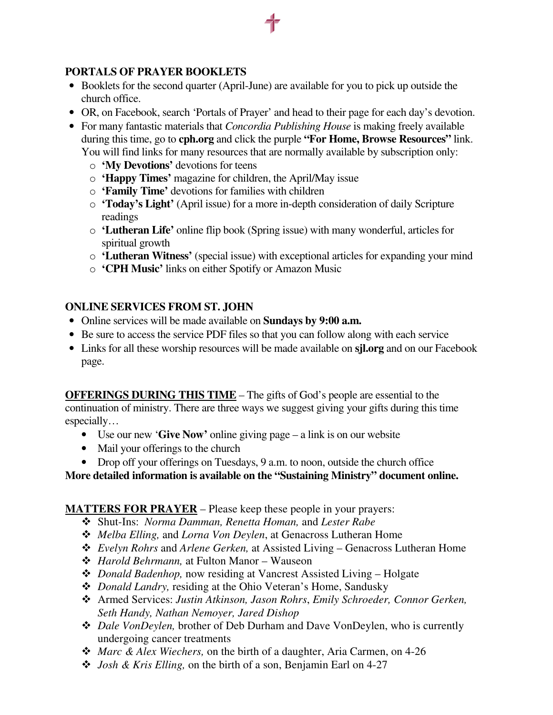# **PORTALS OF PRAYER BOOKLETS**

- Booklets for the second quarter (April-June) are available for you to pick up outside the church office.
- OR, on Facebook, search 'Portals of Prayer' and head to their page for each day's devotion.
- For many fantastic materials that *Concordia Publishing House* is making freely available during this time, go to **cph.org** and click the purple **"For Home, Browse Resources"** link. You will find links for many resources that are normally available by subscription only:
	- o **'My Devotions'** devotions for teens
	- o **'Happy Times'** magazine for children, the April/May issue
	- o **'Family Time'** devotions for families with children
	- o **'Today's Light'** (April issue) for a more in-depth consideration of daily Scripture readings
	- o **'Lutheran Life'** online flip book (Spring issue) with many wonderful, articles for spiritual growth
	- o **'Lutheran Witness'** (special issue) with exceptional articles for expanding your mind
	- o **'CPH Music'** links on either Spotify or Amazon Music

## **ONLINE SERVICES FROM ST. JOHN**

- Online services will be made available on **Sundays by 9:00 a.m.**
- Be sure to access the service PDF files so that you can follow along with each service
- Links for all these worship resources will be made available on **sjl.org** and on our Facebook page.

**OFFERINGS DURING THIS TIME** – The gifts of God's people are essential to the continuation of ministry. There are three ways we suggest giving your gifts during this time especially…

- Use our new '**Give Now'** online giving page a link is on our website
- Mail your offerings to the church
- Drop off your offerings on Tuesdays, 9 a.m. to noon, outside the church office

#### **More detailed information is available on the "Sustaining Ministry" document online.**

## **MATTERS FOR PRAYER** – Please keep these people in your prayers:

- Shut-Ins: *Norma Damman, Renetta Homan,* and *Lester Rabe*
- *Melba Elling,* and *Lorna Von Deylen*, at Genacross Lutheran Home
- *Evelyn Rohrs* and *Arlene Gerken,* at Assisted Living Genacross Lutheran Home
- *Harold Behrmann,* at Fulton Manor Wauseon
- *Donald Badenhop,* now residing at Vancrest Assisted Living Holgate
- *Donald Landry,* residing at the Ohio Veteran's Home, Sandusky
- Armed Services: *Justin Atkinson, Jason Rohrs*, *Emily Schroeder, Connor Gerken, Seth Handy, Nathan Nemoyer, Jared Dishop*
- *Dale VonDeylen,* brother of Deb Durham and Dave VonDeylen, who is currently undergoing cancer treatments
- *Marc & Alex Wiechers,* on the birth of a daughter, Aria Carmen, on 4-26
- *Josh & Kris Elling,* on the birth of a son, Benjamin Earl on 4-27